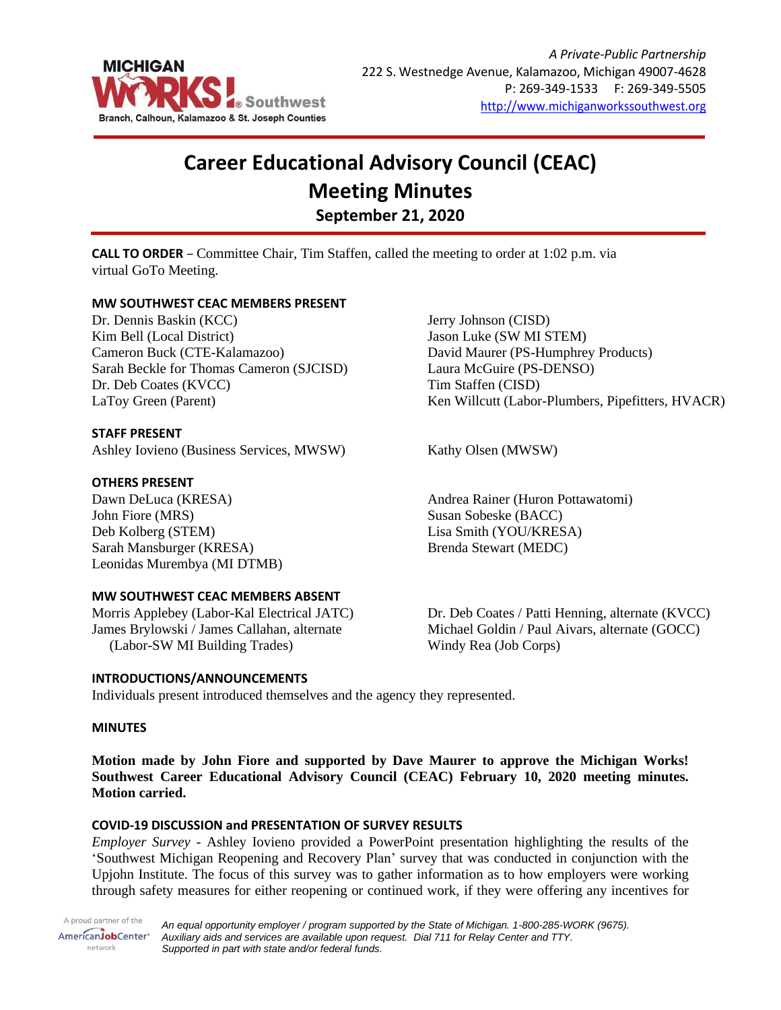

# **Career Educational Advisory Council (CEAC) Meeting Minutes September 21, 2020**

**CALL TO ORDER** – Committee Chair, Tim Staffen, called the meeting to order at 1:02 p.m. via virtual GoTo Meeting.

## **MW SOUTHWEST CEAC MEMBERS PRESENT**

Dr. Dennis Baskin (KCC) Kim Bell (Local District) Cameron Buck (CTE-Kalamazoo) Sarah Beckle for Thomas Cameron (SJCISD) Dr. Deb Coates (KVCC) LaToy Green (Parent)

## **STAFF PRESENT**

Ashley Iovieno (Business Services, MWSW) Kathy Olsen (MWSW)

## **OTHERS PRESENT**

Dawn DeLuca (KRESA) John Fiore (MRS) Deb Kolberg (STEM) Sarah Mansburger (KRESA) Leonidas Murembya (MI DTMB)

## **MW SOUTHWEST CEAC MEMBERS ABSENT**

Morris Applebey (Labor-Kal Electrical JATC) James Brylowski / James Callahan, alternate (Labor-SW MI Building Trades)

## **INTRODUCTIONS/ANNOUNCEMENTS**

Jerry Johnson (CISD) Jason Luke (SW MI STEM) David Maurer (PS-Humphrey Products) Laura McGuire (PS-DENSO) Tim Staffen (CISD) Ken Willcutt (Labor-Plumbers, Pipefitters, HVACR)

Andrea Rainer (Huron Pottawatomi) Susan Sobeske (BACC) Lisa Smith (YOU/KRESA) Brenda Stewart (MEDC)

Dr. Deb Coates / Patti Henning, alternate (KVCC) Michael Goldin / Paul Aivars, alternate (GOCC) Windy Rea (Job Corps)

Individuals present introduced themselves and the agency they represented.

## **MINUTES**

**Motion made by John Fiore and supported by Dave Maurer to approve the Michigan Works! Southwest Career Educational Advisory Council (CEAC) February 10, 2020 meeting minutes. Motion carried.**

## **COVID-19 DISCUSSION and PRESENTATION OF SURVEY RESULTS**

*Employer Survey* - Ashley Iovieno provided a PowerPoint presentation highlighting the results of the 'Southwest Michigan Reopening and Recovery Plan' survey that was conducted in conjunction with the Upjohn Institute. The focus of this survey was to gather information as to how employers were working through safety measures for either reopening or continued work, if they were offering any incentives for

A proud partner of the AmericanJobCenter\* network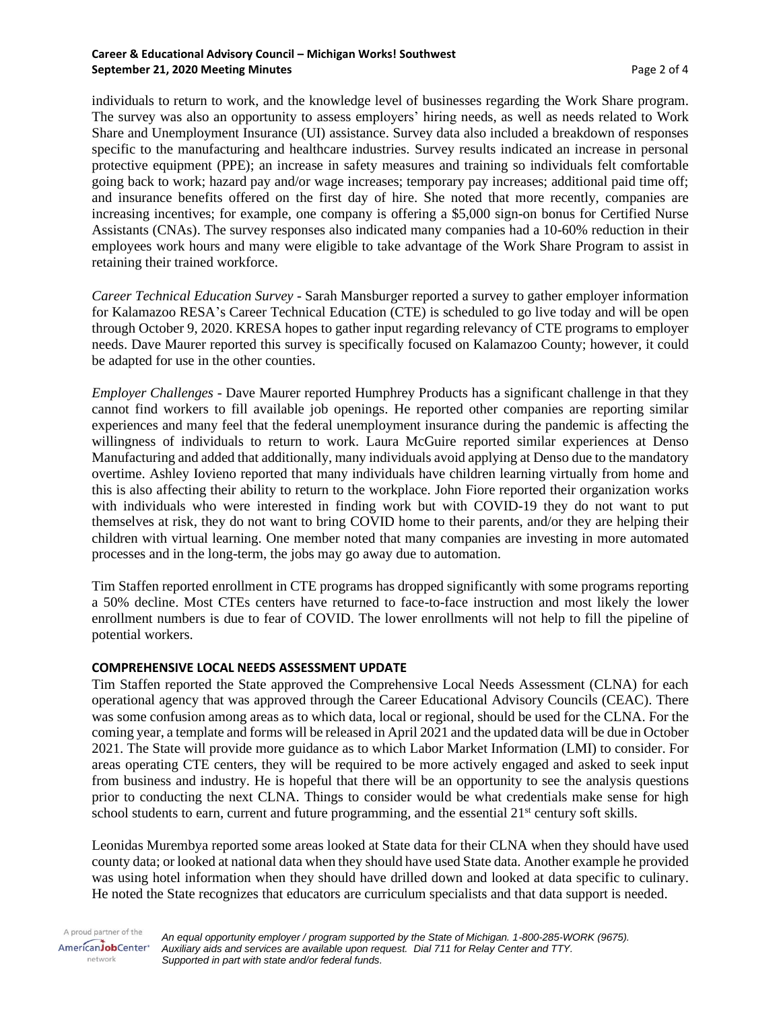#### **Career & Educational Advisory Council – Michigan Works! Southwest September 21, 2020 Meeting Minutes Associates According to the September 21, 2020 Meeting Minutes**

individuals to return to work, and the knowledge level of businesses regarding the Work Share program. The survey was also an opportunity to assess employers' hiring needs, as well as needs related to Work Share and Unemployment Insurance (UI) assistance. Survey data also included a breakdown of responses specific to the manufacturing and healthcare industries. Survey results indicated an increase in personal protective equipment (PPE); an increase in safety measures and training so individuals felt comfortable going back to work; hazard pay and/or wage increases; temporary pay increases; additional paid time off; and insurance benefits offered on the first day of hire. She noted that more recently, companies are increasing incentives; for example, one company is offering a \$5,000 sign-on bonus for Certified Nurse Assistants (CNAs). The survey responses also indicated many companies had a 10-60% reduction in their employees work hours and many were eligible to take advantage of the Work Share Program to assist in retaining their trained workforce.

*Career Technical Education Survey* - Sarah Mansburger reported a survey to gather employer information for Kalamazoo RESA's Career Technical Education (CTE) is scheduled to go live today and will be open through October 9, 2020. KRESA hopes to gather input regarding relevancy of CTE programs to employer needs. Dave Maurer reported this survey is specifically focused on Kalamazoo County; however, it could be adapted for use in the other counties.

*Employer Challenges* - Dave Maurer reported Humphrey Products has a significant challenge in that they cannot find workers to fill available job openings. He reported other companies are reporting similar experiences and many feel that the federal unemployment insurance during the pandemic is affecting the willingness of individuals to return to work. Laura McGuire reported similar experiences at Denso Manufacturing and added that additionally, many individuals avoid applying at Denso due to the mandatory overtime. Ashley Iovieno reported that many individuals have children learning virtually from home and this is also affecting their ability to return to the workplace. John Fiore reported their organization works with individuals who were interested in finding work but with COVID-19 they do not want to put themselves at risk, they do not want to bring COVID home to their parents, and/or they are helping their children with virtual learning. One member noted that many companies are investing in more automated processes and in the long-term, the jobs may go away due to automation.

Tim Staffen reported enrollment in CTE programs has dropped significantly with some programs reporting a 50% decline. Most CTEs centers have returned to face-to-face instruction and most likely the lower enrollment numbers is due to fear of COVID. The lower enrollments will not help to fill the pipeline of potential workers.

## **COMPREHENSIVE LOCAL NEEDS ASSESSMENT UPDATE**

Tim Staffen reported the State approved the Comprehensive Local Needs Assessment (CLNA) for each operational agency that was approved through the Career Educational Advisory Councils (CEAC). There was some confusion among areas as to which data, local or regional, should be used for the CLNA. For the coming year, a template and forms will be released in April 2021 and the updated data will be due in October 2021. The State will provide more guidance as to which Labor Market Information (LMI) to consider. For areas operating CTE centers, they will be required to be more actively engaged and asked to seek input from business and industry. He is hopeful that there will be an opportunity to see the analysis questions prior to conducting the next CLNA. Things to consider would be what credentials make sense for high school students to earn, current and future programming, and the essential 21<sup>st</sup> century soft skills.

Leonidas Murembya reported some areas looked at State data for their CLNA when they should have used county data; or looked at national data when they should have used State data. Another example he provided was using hotel information when they should have drilled down and looked at data specific to culinary. He noted the State recognizes that educators are curriculum specialists and that data support is needed.

A proud partner of the *An equal opportunity employer / program supported by the State of Michigan. 1-800-285-WORK (9675).* AmericanJobCenter<sup>®</sup> *Auxiliary aids and services are available upon request. Dial 711 for Relay Center and TTY.* network *Supported in part with state and/or federal funds.*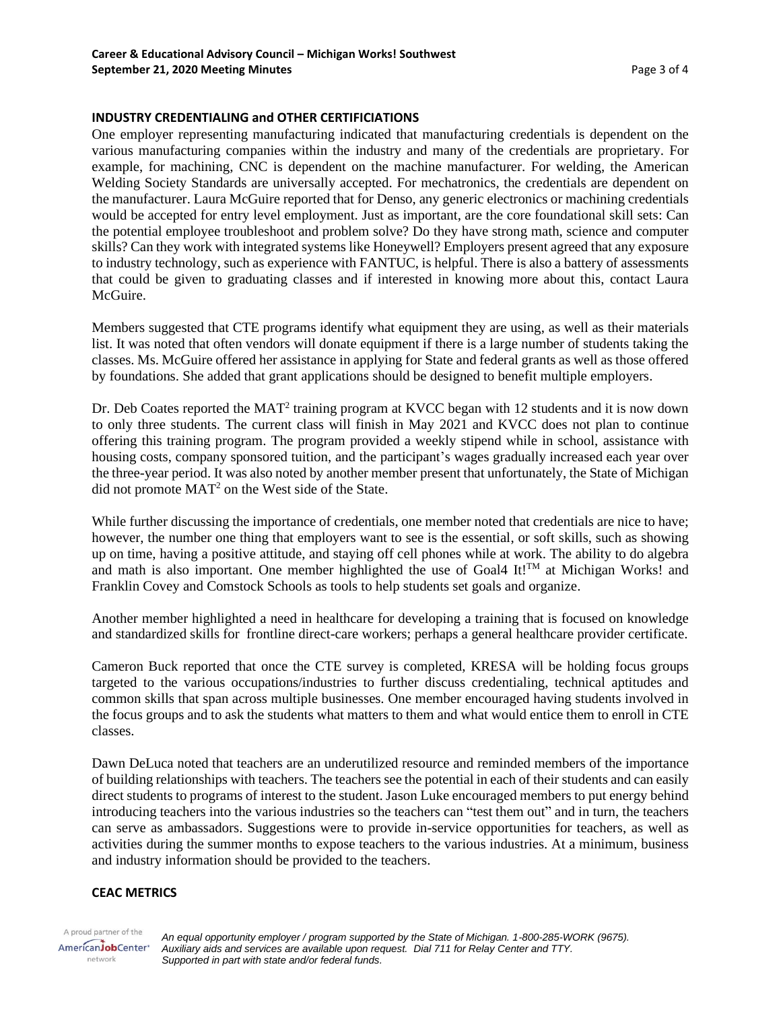#### **INDUSTRY CREDENTIALING and OTHER CERTIFICIATIONS**

One employer representing manufacturing indicated that manufacturing credentials is dependent on the various manufacturing companies within the industry and many of the credentials are proprietary. For example, for machining, CNC is dependent on the machine manufacturer. For welding, the American Welding Society Standards are universally accepted. For mechatronics, the credentials are dependent on the manufacturer. Laura McGuire reported that for Denso, any generic electronics or machining credentials would be accepted for entry level employment. Just as important, are the core foundational skill sets: Can the potential employee troubleshoot and problem solve? Do they have strong math, science and computer skills? Can they work with integrated systems like Honeywell? Employers present agreed that any exposure to industry technology, such as experience with FANTUC, is helpful. There is also a battery of assessments that could be given to graduating classes and if interested in knowing more about this, contact Laura McGuire.

Members suggested that CTE programs identify what equipment they are using, as well as their materials list. It was noted that often vendors will donate equipment if there is a large number of students taking the classes. Ms. McGuire offered her assistance in applying for State and federal grants as well as those offered by foundations. She added that grant applications should be designed to benefit multiple employers.

Dr. Deb Coates reported the  $MAT^2$  training program at KVCC began with 12 students and it is now down to only three students. The current class will finish in May 2021 and KVCC does not plan to continue offering this training program. The program provided a weekly stipend while in school, assistance with housing costs, company sponsored tuition, and the participant's wages gradually increased each year over the three-year period. It was also noted by another member present that unfortunately, the State of Michigan did not promote MAT<sup>2</sup> on the West side of the State.

While further discussing the importance of credentials, one member noted that credentials are nice to have; however, the number one thing that employers want to see is the essential, or soft skills, such as showing up on time, having a positive attitude, and staying off cell phones while at work. The ability to do algebra and math is also important. One member highlighted the use of Goal4 It!<sup>TM</sup> at Michigan Works! and Franklin Covey and Comstock Schools as tools to help students set goals and organize.

Another member highlighted a need in healthcare for developing a training that is focused on knowledge and standardized skills for frontline direct-care workers; perhaps a general healthcare provider certificate.

Cameron Buck reported that once the CTE survey is completed, KRESA will be holding focus groups targeted to the various occupations/industries to further discuss credentialing, technical aptitudes and common skills that span across multiple businesses. One member encouraged having students involved in the focus groups and to ask the students what matters to them and what would entice them to enroll in CTE classes.

Dawn DeLuca noted that teachers are an underutilized resource and reminded members of the importance of building relationships with teachers. The teachers see the potential in each of their students and can easily direct students to programs of interest to the student. Jason Luke encouraged members to put energy behind introducing teachers into the various industries so the teachers can "test them out" and in turn, the teachers can serve as ambassadors. Suggestions were to provide in-service opportunities for teachers, as well as activities during the summer months to expose teachers to the various industries. At a minimum, business and industry information should be provided to the teachers.

## **CEAC METRICS**

A proud partner of the AmericanJobCenter\* network

*An equal opportunity employer / program supported by the State of Michigan. 1-800-285-WORK (9675). Auxiliary aids and services are available upon request. Dial 711 for Relay Center and TTY. Supported in part with state and/or federal funds.*